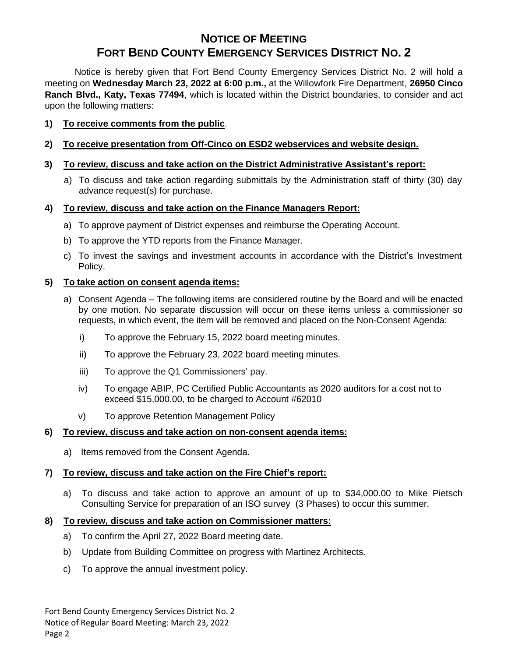# **NOTICE OF MEETING FORT BEND COUNTY EMERGENCY SERVICES DISTRICT NO. 2**

Notice is hereby given that Fort Bend County Emergency Services District No. 2 will hold a meeting on **Wednesday March 23, 2022 at 6:00 p.m.,** at the Willowfork Fire Department, **26950 Cinco Ranch Blvd., Katy, Texas 77494**, which is located within the District boundaries, to consider and act upon the following matters:

## **1) To receive comments from the public**.

## **2) To receive presentation from Off-Cinco on ESD2 webservices and website design.**

## **3) To review, discuss and take action on the District Administrative Assistant's report:**

a) To discuss and take action regarding submittals by the Administration staff of thirty (30) day advance request(s) for purchase.

## **4) To review, discuss and take action on the Finance Managers Report:**

- a) To approve payment of District expenses and reimburse the Operating Account.
- b) To approve the YTD reports from the Finance Manager.
- c) To invest the savings and investment accounts in accordance with the District's Investment Policy.

## **5) To take action on consent agenda items:**

- a) Consent Agenda The following items are considered routine by the Board and will be enacted by one motion. No separate discussion will occur on these items unless a commissioner so requests, in which event, the item will be removed and placed on the Non-Consent Agenda:
	- i) To approve the February 15, 2022 board meeting minutes.
	- ii) To approve the February 23, 2022 board meeting minutes.
	- iii) To approve the Q1 Commissioners' pay.
	- iv) To engage ABIP, PC Certified Public Accountants as 2020 auditors for a cost not to exceed \$15,000.00, to be charged to Account #62010
	- v) To approve Retention Management Policy

#### **6) To review, discuss and take action on non-consent agenda items:**

a) Items removed from the Consent Agenda.

## **7) To review, discuss and take action on the Fire Chief's report:**

a) To discuss and take action to approve an amount of up to \$34,000.00 to Mike Pietsch Consulting Service for preparation of an ISO survey (3 Phases) to occur this summer.

#### **8) To review, discuss and take action on Commissioner matters:**

- a) To confirm the April 27, 2022 Board meeting date.
- b) Update from Building Committee on progress with Martinez Architects.
- c) To approve the annual investment policy.

Fort Bend County Emergency Services District No. 2 Notice of Regular Board Meeting: March 23, 2022 Page 2